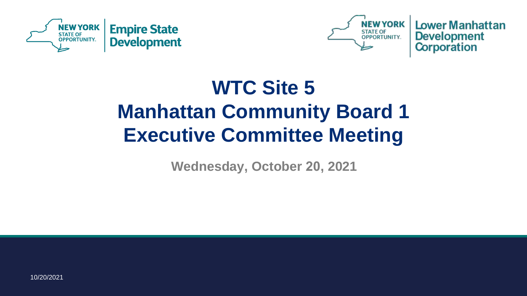



**Lower Manhattan Development Corporation** 

## **WTC Site 5 Manhattan Community Board 1 Executive Committee Meeting**

**Wednesday, October 20, 2021**

10/20/2021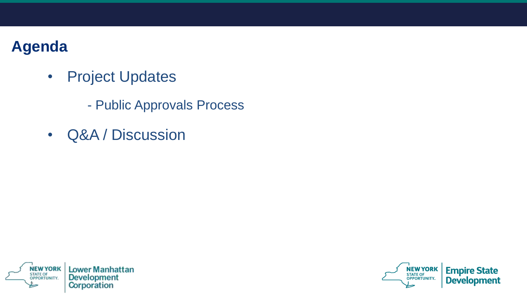#### **Agenda**

- Project Updates
	- Public Approvals Process
- Q&A / Discussion



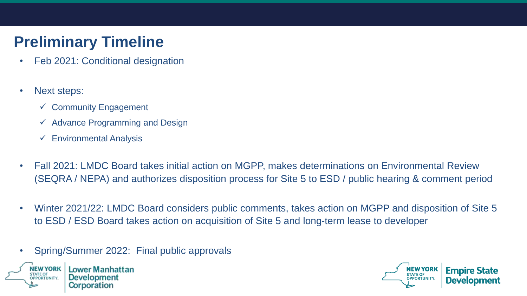### **Preliminary Timeline**

- Feb 2021: Conditional designation
- Next steps:
	- $\checkmark$  Community Engagement
	- $\checkmark$  Advance Programming and Design
	- $\checkmark$  Environmental Analysis
- Fall 2021: LMDC Board takes initial action on MGPP, makes determinations on Environmental Review (SEQRA / NEPA) and authorizes disposition process for Site 5 to ESD / public hearing & comment period
- Winter 2021/22: LMDC Board considers public comments, takes action on MGPP and disposition of Site 5 to ESD / ESD Board takes action on acquisition of Site 5 and long-term lease to developer
- Spring/Summer 2022: Final public approvals



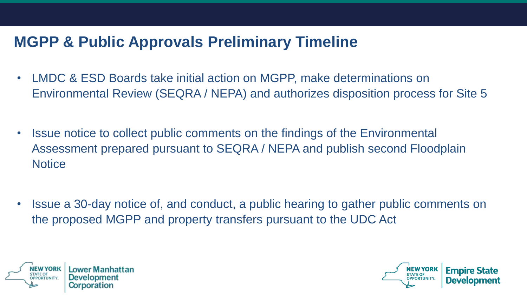#### **MGPP & Public Approvals Preliminary Timeline**

- LMDC & ESD Boards take initial action on MGPP, make determinations on Environmental Review (SEQRA / NEPA) and authorizes disposition process for Site 5
- Issue notice to collect public comments on the findings of the Environmental Assessment prepared pursuant to SEQRA / NEPA and publish second Floodplain **Notice**
- Issue a 30-day notice of, and conduct, a public hearing to gather public comments on the proposed MGPP and property transfers pursuant to the UDC Act



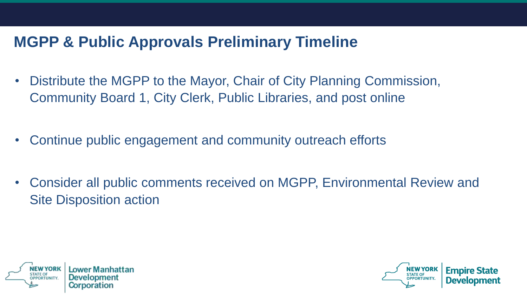#### **MGPP & Public Approvals Preliminary Timeline**

- Distribute the MGPP to the Mayor, Chair of City Planning Commission, Community Board 1, City Clerk, Public Libraries, and post online
- Continue public engagement and community outreach efforts
- Consider all public comments received on MGPP, Environmental Review and Site Disposition action



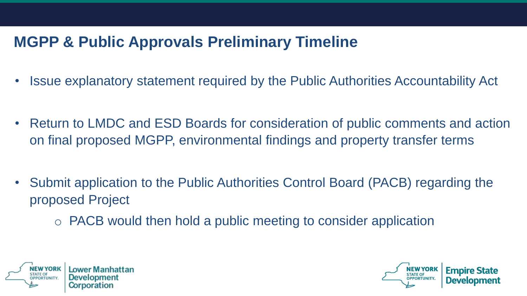#### **MGPP & Public Approvals Preliminary Timeline**

- Issue explanatory statement required by the Public Authorities Accountability Act
- Return to LMDC and ESD Boards for consideration of public comments and action on final proposed MGPP, environmental findings and property transfer terms
- Submit application to the Public Authorities Control Board (PACB) regarding the proposed Project
	- o PACB would then hold a public meeting to consider application



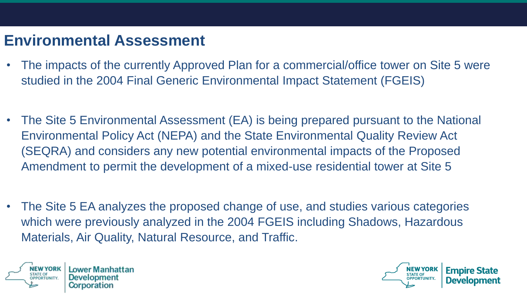#### **Environmental Assessment**

- The impacts of the currently Approved Plan for a commercial/office tower on Site 5 were studied in the 2004 Final Generic Environmental Impact Statement (FGEIS)
- The Site 5 Environmental Assessment (EA) is being prepared pursuant to the National Environmental Policy Act (NEPA) and the State Environmental Quality Review Act (SEQRA) and considers any new potential environmental impacts of the Proposed Amendment to permit the development of a mixed-use residential tower at Site 5
- The Site 5 EA analyzes the proposed change of use, and studies various categories which were previously analyzed in the 2004 FGEIS including Shadows, Hazardous Materials, Air Quality, Natural Resource, and Traffic.